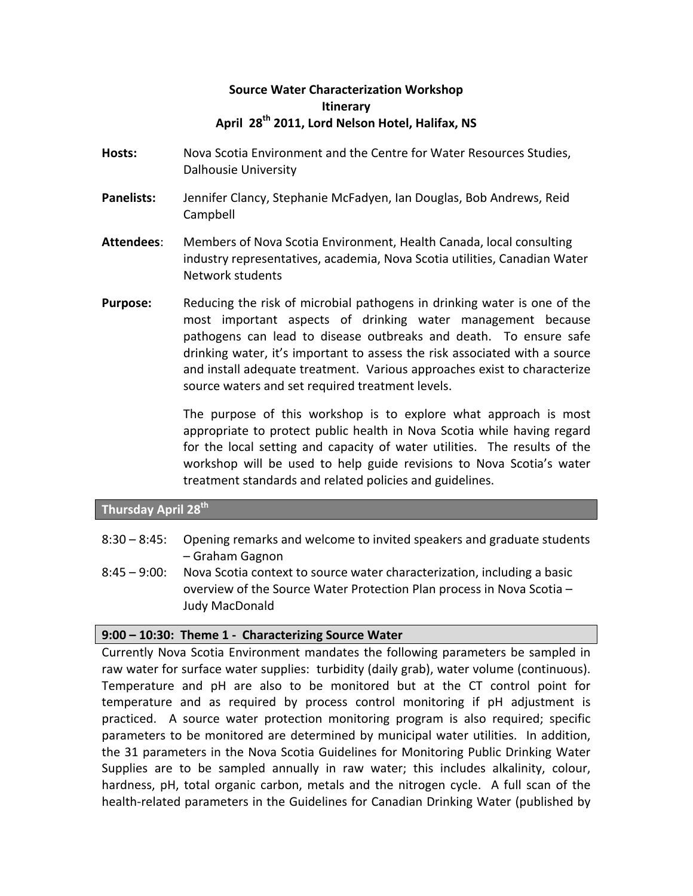# **Source'Water'Characterization'Workshop Itinerary** April 28<sup>th</sup> 2011, Lord Nelson Hotel, Halifax, NS

- **Hosts:** Nova Scotia Environment and the Centre for Water Resources Studies, Dalhousie University
- **Panelists:** Jennifer Clancy, Stephanie McFadyen, Ian Douglas, Bob Andrews, Reid Campbell
- Attendees: Members of Nova Scotia Environment, Health Canada, local consulting industry representatives, academia, Nova Scotia utilities, Canadian Water Network students
- **Purpose:** Reducing the risk of microbial pathogens in drinking water is one of the most important aspects of drinking water management because pathogens can lead to disease outbreaks and death. To ensure safe drinking water, it's important to assess the risk associated with a source and install adequate treatment. Various approaches exist to characterize source waters and set required treatment levels.

The purpose of this workshop is to explore what approach is most appropriate to protect public health in Nova Scotia while having regard for the local setting and capacity of water utilities. The results of the workshop will be used to help guide revisions to Nova Scotia's water treatment standards and related policies and guidelines.

# **Thursday April 28th**

- $8:30 8:45$ : Opening remarks and welcome to invited speakers and graduate students –%Graham%Gagnon
- $8:45 9:00$ : Nova Scotia context to source water characterization, including a basic overview of the Source Water Protection Plan process in Nova Scotia  $-$ Judy MacDonald

#### 9:00 – 10:30: Theme 1 - Characterizing Source Water

Currently Nova Scotia Environment mandates the following parameters be sampled in raw water for surface water supplies: turbidity (daily grab), water volume (continuous). Temperature and pH are also to be monitored but at the CT control point for temperature and as required by process control monitoring if pH adjustment is practiced. A source water protection monitoring program is also required; specific parameters to be monitored are determined by municipal water utilities. In addition, the 31 parameters in the Nova Scotia Guidelines for Monitoring Public Drinking Water Supplies are to be sampled annually in raw water; this includes alkalinity, colour, hardness, pH, total organic carbon, metals and the nitrogen cycle. A full scan of the health-related parameters in the Guidelines for Canadian Drinking Water (published by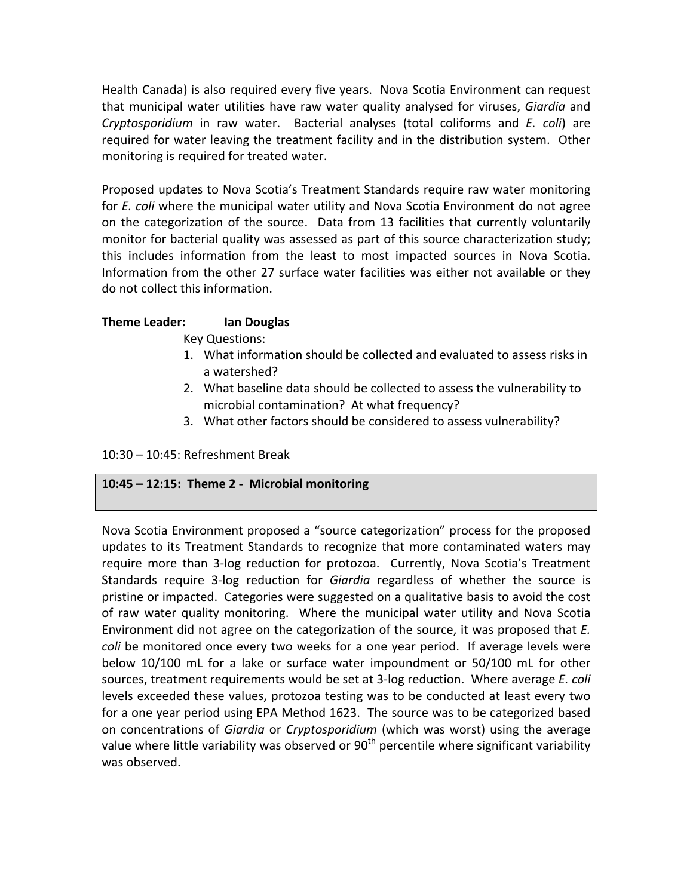Health Canada) is also required every five years. Nova Scotia Environment can request that municipal water utilities have raw water quality analysed for viruses, Giardia and *Cryptosporidium* in raw water. Bacterial analyses (total coliforms and *E. coli*) are required for water leaving the treatment facility and in the distribution system. Other monitoring is required for treated water.

Proposed updates to Nova Scotia's Treatment Standards require raw water monitoring for *E. coli* where the municipal water utility and Nova Scotia Environment do not agree on the categorization of the source. Data from 13 facilities that currently voluntarily monitor for bacterial quality was assessed as part of this source characterization study; this includes information from the least to most impacted sources in Nova Scotia. Information from the other 27 surface water facilities was either not available or they do not collect this information.

### **Theme'Leader:''' Ian'Douglas**

Key Questions:

- 1. What information should be collected and evaluated to assess risks in a watershed?
- 2. What baseline data should be collected to assess the vulnerability to microbial contamination? At what frequency?
- 3. What other factors should be considered to assess vulnerability?

 $10:30 - 10:45$ : Refreshment Break

### 10:45 - 12:15: Theme 2 - Microbial monitoring

Nova Scotia Environment proposed a "source categorization" process for the proposed updates to its Treatment Standards to recognize that more contaminated waters may require more than 3-log reduction for protozoa. Currently, Nova Scotia's Treatment Standards require 3-log reduction for Giardia regardless of whether the source is pristine or impacted. Categories were suggested on a qualitative basis to avoid the cost of raw water quality monitoring. Where the municipal water utility and Nova Scotia Environment did not agree on the categorization of the source, it was proposed that *E. coli* be monitored once every two weeks for a one year period. If average levels were below  $10/100$  mL for a lake or surface water impoundment or  $50/100$  mL for other sources, treatment requirements would be set at 3-log reduction. Where average *E. coli* levels exceeded these values, protozoa testing was to be conducted at least every two for a one year period using EPA Method 1623. The source was to be categorized based on concentrations of *Giardia* or *Cryptosporidium* (which was worst) using the average value where little variability was observed or  $90<sup>th</sup>$  percentile where significant variability was observed.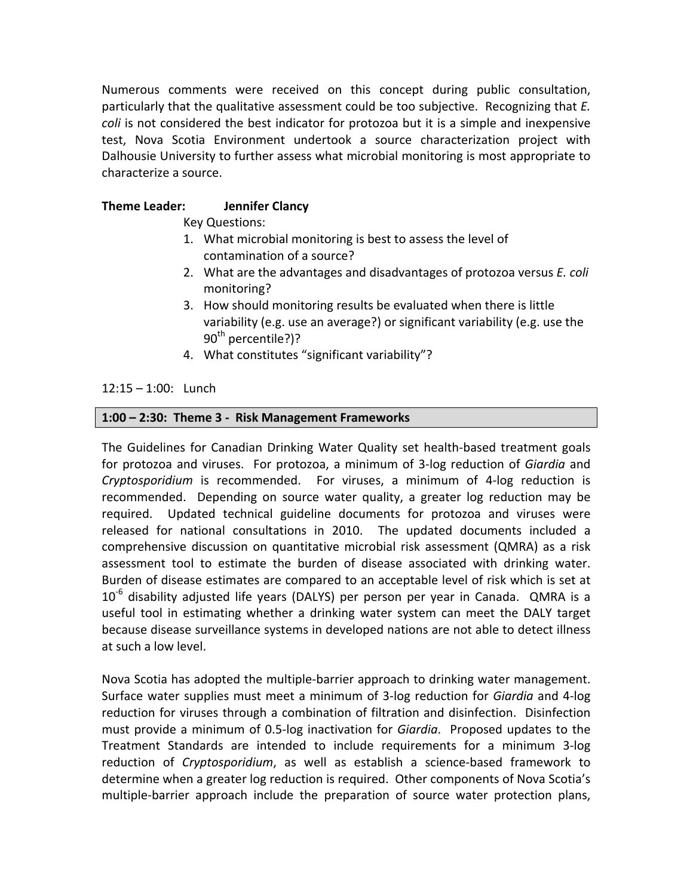Numerous comments were received on this concept during public consultation, particularly that the qualitative assessment could be too subjective. Recognizing that *E. coli* is not considered the best indicator for protozoa but it is a simple and inexpensive test, Nova Scotia Environment undertook a source characterization project with Dalhousie University to further assess what microbial monitoring is most appropriate to characterize a source.

### **Theme Leader: Jennifer Clancy**

Key Questions:

- 1. What microbial monitoring is best to assess the level of contamination of a source?
- 2. What are the advantages and disadvantages of protozoa versus *E. coli* monitoring?
- 3. How should monitoring results be evaluated when there is little variability (e.g. use an average?) or significant variability (e.g. use the  $90<sup>th</sup>$  percentile?)?
- 4. What constitutes "significant variability"?

 $12:15 - 1:00$ : Lunch

### 1:00 - 2:30: Theme 3 - Risk Management Frameworks

The Guidelines for Canadian Drinking Water Quality set health-based treatment goals for protozoa and viruses. For protozoa, a minimum of 3-log reduction of *Giardia* and *Cryptosporidium* is recommended. For viruses, a minimum of 4-log reduction is recommended. Depending on source water quality, a greater log reduction may be required. Updated technical guideline documents for protozoa and viruses were released for national consultations in 2010. The updated documents included a comprehensive discussion on quantitative microbial risk assessment (QMRA) as a risk assessment tool to estimate the burden of disease associated with drinking water. Burden of disease estimates are compared to an acceptable level of risk which is set at  $10<sup>-6</sup>$  disability adjusted life years (DALYS) per person per year in Canada. QMRA is a useful tool in estimating whether a drinking water system can meet the DALY target because disease surveillance systems in developed nations are not able to detect illness at such a low level.

Nova Scotia has adopted the multiple-barrier approach to drinking water management. Surface water supplies must meet a minimum of 3-log reduction for *Giardia* and 4-log reduction for viruses through a combination of filtration and disinfection. Disinfection must provide a minimum of 0.5-log inactivation for *Giardia*. Proposed updates to the Treatment Standards are intended to include requirements for a minimum 3-log reduction of *Cryptosporidium*, as well as establish a science-based framework to determine when a greater log reduction is required. Other components of Nova Scotia's multiple-barrier approach include the preparation of source water protection plans,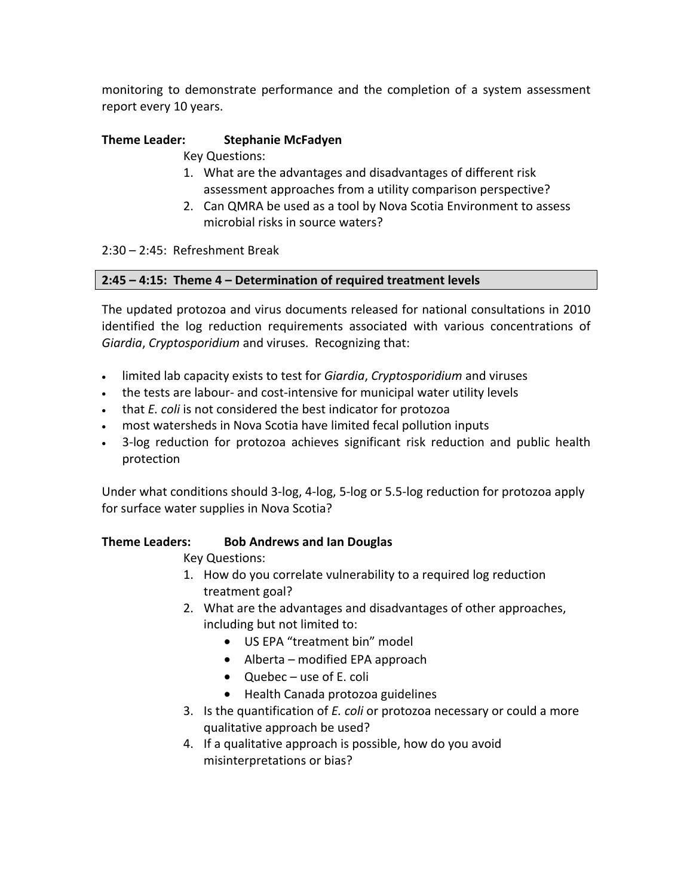monitoring to demonstrate performance and the completion of a system assessment report every 10 years.

# **Theme'Leader: Stephanie'McFadyen**

**Key Questions:** 

- 1. What are the advantages and disadvantages of different risk assessment approaches from a utility comparison perspective?
- 2. Can QMRA be used as a tool by Nova Scotia Environment to assess microbial risks in source waters?

 $2:30 - 2:45$ : Refreshment Break

### **2:45'–'4:15:''Theme'4'– Determination'of required'treatment'levels**

The updated protozoa and virus documents released for national consultations in 2010 identified the log reduction requirements associated with various concentrations of *Giardia, Cryptosporidium* and viruses. Recognizing that:

- limited lab capacity exists to test for *Giardia, Cryptosporidium* and viruses
- the tests are labour- and cost-intensive for municipal water utility levels
- that *E. coli* is not considered the best indicator for protozoa
- most watersheds in Nova Scotia have limited fecal pollution inputs
- 3-log reduction for protozoa achieves significant risk reduction and public health protection

Under what conditions should 3-log, 4-log, 5-log or 5.5-log reduction for protozoa apply for surface water supplies in Nova Scotia?

# **Theme Leaders: Bob Andrews and Ian Douglas**

Key Questions:

- 1. How do you correlate vulnerability to a required log reduction treatment goal?
- 2. What are the advantages and disadvantages of other approaches, including but not limited to:
	- US EPA "treatment bin" model
	- $\bullet$  Alberta modified EPA approach
	- Quebec use of E. coli
	- Health Canada protozoa guidelines
- 3. Is the quantification of *E. coli* or protozoa necessary or could a more qualitative approach be used?
- 4. If a qualitative approach is possible, how do you avoid misinterpretations or bias?